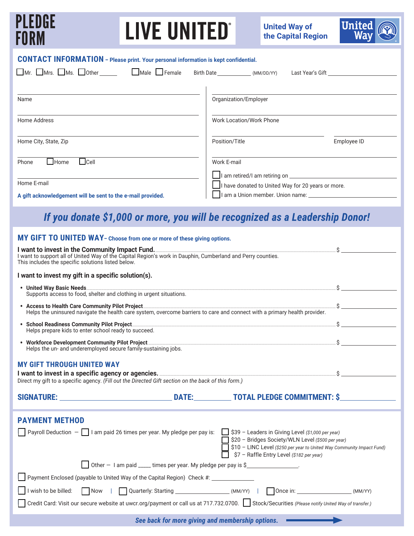| 121 FDIRF<br><b>LIVE UNITED</b><br>FURM                                                                                                                                                                                                | <b>United</b><br><b>United Way of</b><br>the Capital Region                                                                                                             |  |  |  |  |
|----------------------------------------------------------------------------------------------------------------------------------------------------------------------------------------------------------------------------------------|-------------------------------------------------------------------------------------------------------------------------------------------------------------------------|--|--|--|--|
| <b>CONTACT INFORMATION</b> - Please print. Your personal information is kept confidential.                                                                                                                                             |                                                                                                                                                                         |  |  |  |  |
| $\square$ Mr. $\square$ Mrs. $\square$ Ms. $\square$ Other $\square$ $\square$ Male $\square$ Female Birth Date $\square$ (MM/DD/YY) Last Year's Gift $\square$                                                                        |                                                                                                                                                                         |  |  |  |  |
| Name                                                                                                                                                                                                                                   | Organization/Employer                                                                                                                                                   |  |  |  |  |
| Home Address                                                                                                                                                                                                                           | Work Location/Work Phone                                                                                                                                                |  |  |  |  |
| Home City, State, Zip                                                                                                                                                                                                                  | Position/Title<br>Employee ID                                                                                                                                           |  |  |  |  |
| $\Box$ Cell<br>$\Box$ Home<br>Phone                                                                                                                                                                                                    | Work E-mail                                                                                                                                                             |  |  |  |  |
| Home E-mail                                                                                                                                                                                                                            |                                                                                                                                                                         |  |  |  |  |
| A gift acknowledgement will be sent to the e-mail provided.                                                                                                                                                                            | I have donated to United Way for 20 years or more.                                                                                                                      |  |  |  |  |
|                                                                                                                                                                                                                                        | If you donate \$1,000 or more, you will be recognized as a Leadership Donor!                                                                                            |  |  |  |  |
| MY GIFT TO UNITED WAY- Choose from one or more of these giving options.                                                                                                                                                                |                                                                                                                                                                         |  |  |  |  |
| I want to invest in the Community Impact Fund.<br>I want to support all of United Way of the Capital Region's work in Dauphin, Cumberland and Perry counties.<br>This includes the specific solutions listed below.                    |                                                                                                                                                                         |  |  |  |  |
| I want to invest my gift in a specific solution(s).                                                                                                                                                                                    |                                                                                                                                                                         |  |  |  |  |
| Supports access to food, shelter and clothing in urgent situations.                                                                                                                                                                    |                                                                                                                                                                         |  |  |  |  |
| • Access to Health Care Community Pilot Project <u>Community Pilot Access (and</u> Connect with a primary health provider.<br>Helps the uninsured navigate the health care system, overcome barriers to care and connect with a primar |                                                                                                                                                                         |  |  |  |  |
| Helps prepare kids to enter school ready to succeed.                                                                                                                                                                                   |                                                                                                                                                                         |  |  |  |  |
| Helps the un- and underemployed secure family-sustaining jobs.                                                                                                                                                                         |                                                                                                                                                                         |  |  |  |  |
| <b>MY GIFT THROUGH UNITED WAY</b>                                                                                                                                                                                                      |                                                                                                                                                                         |  |  |  |  |
| I want to invest in a specific agency or agencies. <u>Communications</u> and a specific agency or agencies.<br>Direct my gift to a specific agency. (Fill out the Directed Gift section on the back of this form.)                     |                                                                                                                                                                         |  |  |  |  |
|                                                                                                                                                                                                                                        |                                                                                                                                                                         |  |  |  |  |
| <b>PAYMENT METHOD</b>                                                                                                                                                                                                                  |                                                                                                                                                                         |  |  |  |  |
| Payroll Deduction - $\Box$ I am paid 26 times per year. My pledge per pay is: $\Box$ \$39 - Leaders in Giving Level (\$1,000 per year)                                                                                                 | S20 - Bridges Society/WLN Level (\$500 per year)<br>\$10 - LINC Level (\$250 per year to United Way Community Impact Fund)<br>\$7 - Raffle Entry Level (\$182 per year) |  |  |  |  |
| $\Box$ Other $-$ I am paid $\_\_$ times per year. My pledge per pay is \$ $\_\_$                                                                                                                                                       |                                                                                                                                                                         |  |  |  |  |
| Payment Enclosed (payable to United Way of the Capital Region) Check #: _________                                                                                                                                                      |                                                                                                                                                                         |  |  |  |  |
| I wish to be billed: \[ \] Now \  \] Quarterly: Starting ________________________(MM/YY) \  \] Once in: ___________________(MM/YY)                                                                                                     |                                                                                                                                                                         |  |  |  |  |
| Credit Card: Visit our secure website at uwcr.org/payment or call us at 717.732.0700. Stock/Securities (Please notify United Way of transfer.)                                                                                         |                                                                                                                                                                         |  |  |  |  |
|                                                                                                                                                                                                                                        |                                                                                                                                                                         |  |  |  |  |

*See back for more giving and membership options.*